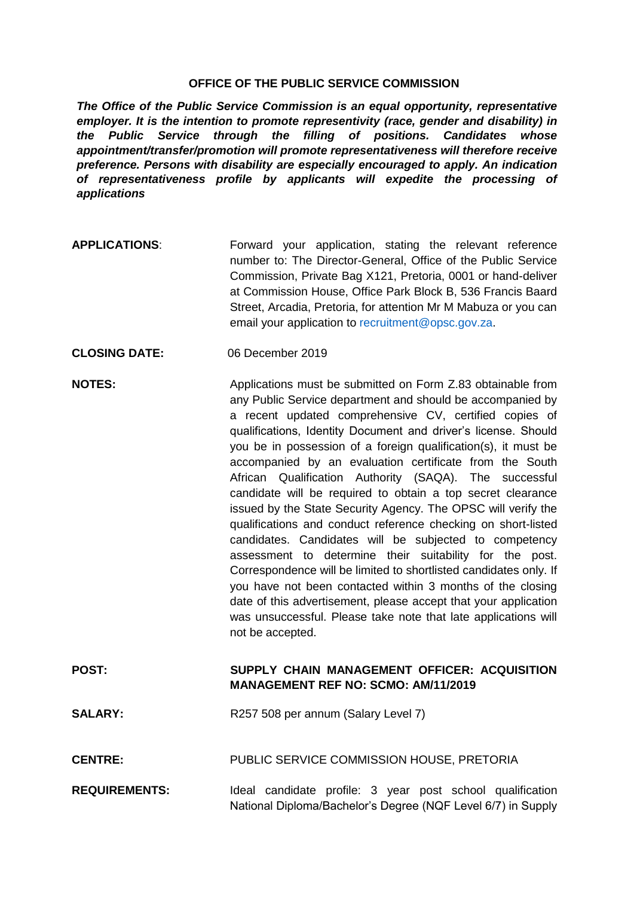## **OFFICE OF THE PUBLIC SERVICE COMMISSION**

*The Office of the Public Service Commission is an equal opportunity, representative employer. It is the intention to promote representivity (race, gender and disability) in the Public Service through the filling of positions. Candidates whose appointment/transfer/promotion will promote representativeness will therefore receive preference. Persons with disability are especially encouraged to apply. An indication of representativeness profile by applicants will expedite the processing of applications*

- **APPLICATIONS**: Forward your application, stating the relevant reference number to: The Director-General, Office of the Public Service Commission, Private Bag X121, Pretoria, 0001 or hand-deliver at Commission House, Office Park Block B, 536 Francis Baard Street, Arcadia, Pretoria, for attention Mr M Mabuza or you can email your application to [recruitment@opsc.gov.za.](mailto:recruitment@opsc.gov.za)
- **CLOSING DATE:** 06 December 2019
- **NOTES:** Applications must be submitted on Form Z.83 obtainable from any Public Service department and should be accompanied by a recent updated comprehensive CV, certified copies of qualifications, Identity Document and driver's license. Should you be in possession of a foreign qualification(s), it must be accompanied by an evaluation certificate from the South African Qualification Authority (SAQA). The successful candidate will be required to obtain a top secret clearance issued by the State Security Agency. The OPSC will verify the qualifications and conduct reference checking on short-listed candidates. Candidates will be subjected to competency assessment to determine their suitability for the post. Correspondence will be limited to shortlisted candidates only. If you have not been contacted within 3 months of the closing date of this advertisement, please accept that your application was unsuccessful. Please take note that late applications will not be accepted.

## **POST: SUPPLY CHAIN MANAGEMENT OFFICER: ACQUISITION MANAGEMENT REF NO: SCMO: AM/11/2019**

- SALARY: R257 508 per annum (Salary Level 7)
- **CENTRE:** PUBLIC SERVICE COMMISSION HOUSE, PRETORIA
- **REQUIREMENTS:** Ideal candidate profile: 3 year post school qualification National Diploma/Bachelor's Degree (NQF Level 6/7) in Supply